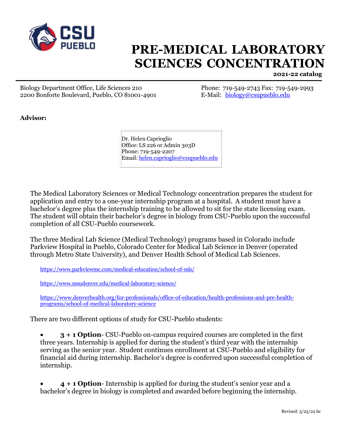

## **PRE-MEDICAL LABORATORY SCIENCES CONCENTRATION**

**2021-22 catalog**

Biology Department Office, Life Sciences 210 Phone: 719-549-2743 Fax: 719-549-2993 2200 Bonforte Boulevard, Pueblo, CO 81001-4901 E-Mail: [biology@csupueblo.edu](mailto:biology@csupueblo.edu)

**Advisor:**

Dr. Helen Caprioglio Office: LS 226 or Admin 303D Phone: 719-549-2207 Email: [helen.caprioglio@csupueblo.edu](mailto:helen.caprioglio@csupueblo.edu)

The Medical Laboratory Sciences or Medical Technology concentration prepares the student for application and entry to a one-year internship program at a hospital. A student must have a bachelor's degree plus the internship training to be allowed to sit for the state licensing exam. The student will obtain their bachelor's degree in biology from CSU-Pueblo upon the successful completion of all CSU-Pueblo coursework.

The three Medical Lab Science (Medical Technology) programs based in Colorado include Parkview Hospital in Pueblo, Colorado Center for Medical Lab Science in Denver (operated through Metro State University), and Denver Health School of Medical Lab Sciences.

<https://www.parkviewmc.com/medical-education/school-of-mls/>

<https://www.msudenver.edu/medical-laboratory-science/>

[https://www.denverhealth.org/for-professionals/office-of-education/health-professions-and-pre-health](https://www.denverhealth.org/for-professionals/office-of-education/health-professions-and-pre-health-programs/school-of-medical-laboratory-science)[programs/school-of-medical-laboratory-science](https://www.denverhealth.org/for-professionals/office-of-education/health-professions-and-pre-health-programs/school-of-medical-laboratory-science)

There are two different options of study for CSU-Pueblo students:

• **3 + 1 Option**- CSU-Pueblo on-campus required courses are completed in the first three years. Internship is applied for during the student's third year with the internship serving as the senior year. Student continues enrollment at CSU-Pueblo and eligibility for financial aid during internship. Bachelor's degree is conferred upon successful completion of internship.

• **4 + 1 Option**- Internship is applied for during the student's senior year and a bachelor's degree in biology is completed and awarded before beginning the internship.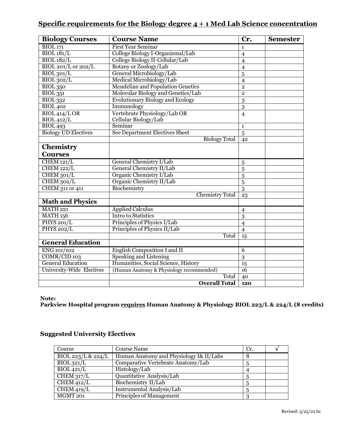## **Specific requirements for the Biology degree 4 + 1 Med Lab Science concentration**

| <b>Biology Courses</b>      | <b>Course Name</b>                       | Cr.             | <b>Semester</b> |
|-----------------------------|------------------------------------------|-----------------|-----------------|
| <b>BIOL</b> 171             | <b>First Year Seminar</b>                | $\mathbf{1}$    |                 |
| BIOL181/L                   | College Biology I-Organismal/Lab         | $\overline{4}$  |                 |
| <b>BIOL</b> 182/L           | College Biology II-Cellular/Lab          | $\overline{4}$  |                 |
| BIOL 201/L or 202/L         | Botany or Zoology/Lab                    | $\overline{4}$  |                 |
| BIOL301/L                   | General Microbiology/Lab                 | 5               |                 |
| BIOL302/L                   | Medical Microbiology/Lab                 | $\overline{4}$  |                 |
| <b>BIOL 350</b>             | <b>Mendelian and Population Genetics</b> | $\mathbf{2}$    |                 |
| $\overline{BIOL351}$        | Molecular Biology and Genetics/Lab       | $\mathbf{2}$    |                 |
| <b>BIOL</b> 352             | <b>Evolutionary Biology and Ecology</b>  | 3               |                 |
| <b>BIOL</b> 402             | Immunology                               | 3               |                 |
| BIOL414/LOR                 | Vertebrate Physiology/Lab OR             | $\overline{4}$  |                 |
| <b>BIOL 412/L</b>           | Cellular Biology/Lab                     |                 |                 |
| <b>BIOL 493</b>             | Seminar                                  | $\mathbf{1}$    |                 |
| <b>Biology UD Electives</b> | <b>See Department Electives Sheet</b>    | $\overline{5}$  |                 |
|                             | <b>Biology Total</b>                     | 42              |                 |
| Chemistry                   |                                          |                 |                 |
| <b>Courses</b>              |                                          |                 |                 |
| CHEM 121/L                  | General Chemistry I/Lab                  | 5               |                 |
| <b>CHEM 122/L</b>           | General Chemistry II/Lab                 | 5               |                 |
| CHEM 301/L                  | Organic Chemistry I/Lab                  | 5               |                 |
| CHEM 302/L                  | Organic Chemistry II/Lab                 | 5               |                 |
| CHEM 311 or 411             | Biochemistry                             | $\overline{3}$  |                 |
|                             | <b>Chemistry Total</b>                   | 23              |                 |
| <b>Math and Physics</b>     |                                          |                 |                 |
| <b>MATH 221</b>             | <b>Applied Calculus</b>                  | $\overline{4}$  |                 |
| <b>MATH 156</b>             | <b>Intro to Statistics</b>               | $\overline{3}$  |                 |
| <b>PHYS 201/L</b>           | Principles of Physics I/Lab              | $\overline{4}$  |                 |
| <b>PHYS 202/L</b>           | Principles of Physics II/Lab             | $\overline{4}$  |                 |
|                             | Total                                    | $\overline{15}$ |                 |
| <b>General Education</b>    |                                          |                 |                 |
| ENG 101/102                 | English Composition I and II             | 6               |                 |
| COMR/CID 103                | <b>Speaking and Listening</b>            | 3               |                 |
| <b>General Education</b>    | Humanities, Social Science, History      | 15              |                 |
| University-Wide Electives   | (Human Anatomy & Physiology recommended) | 16              |                 |
|                             | Total                                    | 40              |                 |
|                             | <b>Overall Total</b>                     | 120             |                 |

**Note:** 

**Parkview Hospital program requires Human Anatomy & Physiology BIOL 223/L & 224/L (8 credits)**

| Course                         | Course Name                             | Cr. |  |
|--------------------------------|-----------------------------------------|-----|--|
| BIOL 223/L & 224/L             | Human Anatomy and Physiology I& II/Labs | 8   |  |
| $BIOL$ 321/L                   | Comparative Vertebrate Anatomy/Lab      |     |  |
| $\overline{BIOL421/L}$         | Histology/Lab                           |     |  |
| CHEM $317/L$                   | Quantitative Analysis/Lab               | 5   |  |
| $\overline{\text{CHEM}}$ 412/L | Biochemistry II/Lab                     | 5   |  |
| CHEM 419/L                     | Instrumental Analysis/Lab               | 5   |  |
| MGMT 201                       | <b>Principles of Management</b>         |     |  |

## **Suggested University Electives**